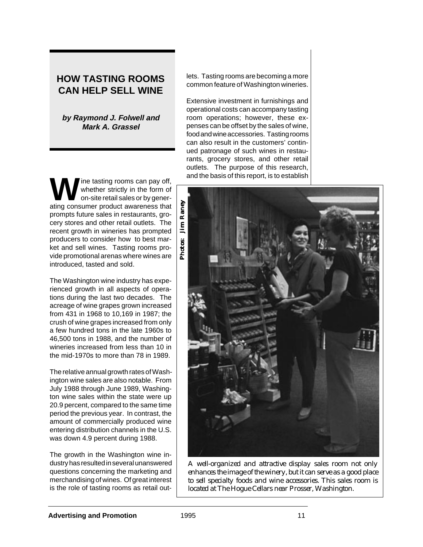# **HOW TASTING ROOMS CAN HELP SELL WINE**

**by Raymond J. Folwell and Mark A. Grassel**

ine tasting rooms can pay off, whether strictly in the form of on-site retail sales or by generating consumer product awareness that prompts future sales in restaurants, grocery stores and other retail outlets. The recent growth in wineries has prompted producers to consider how to best market and sell wines. Tasting rooms provide promotional arenas where wines are introduced, tasted and sold.

The Washington wine industry has experienced growth in all aspects of operations during the last two decades. The acreage of wine grapes grown increased from 431 in 1968 to 10,169 in 1987; the crush of wine grapes increased from only a few hundred tons in the late 1960s to 46,500 tons in 1988, and the number of wineries increased from less than 10 in the mid-1970s to more than 78 in 1989.

The relative annual growth rates of Washington wine sales are also notable. From July 1988 through June 1989, Washington wine sales within the state were up 20.9 percent, compared to the same time period the previous year. In contrast, the amount of commercially produced wine entering distribution channels in the U.S. was down 4.9 percent during 1988.

The growth in the Washington wine industry has resulted in several unanswered questions concerning the marketing and merchandising of wines. Of great interest is the role of tasting rooms as retail outlets. Tasting rooms are becoming a more common feature of Washington wineries.

Extensive investment in furnishings and operational costs can accompany tasting room operations; however, these expenses can be offset by the sales of wine, food and wine accessories. Tasting rooms can also result in the customers' continued patronage of such wines in restaurants, grocery stores, and other retail outlets. The purpose of this research, and the basis of this report, is to establish



*A well-organized and attractive display sales room not only enhances the image of the winery, but it can serve as a good place to sell specialty foods and wine accessories. This sales room is located at The Hogue Cellars near Prosser, Washington.*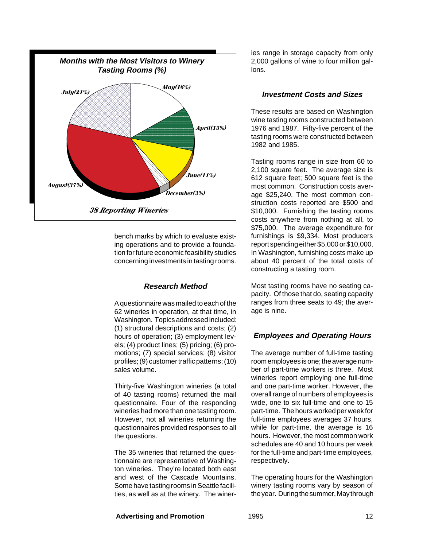

bench marks by which to evaluate existing operations and to provide a foundation for future economic feasibility studies concerning investments in tasting rooms.

# **Research Method**

A questionnaire was mailed to each of the 62 wineries in operation, at that time, in Washington. Topics addressed included: (1) structural descriptions and costs; (2) hours of operation; (3) employment levels; (4) product lines; (5) pricing; (6) promotions; (7) special services; (8) visitor profiles; (9) customer traffic patterns; (10) sales volume.

Thirty-five Washington wineries (a total of 40 tasting rooms) returned the mail questionnaire. Four of the responding wineries had more than one tasting room. However, not all wineries returning the questionnaires provided responses to all the questions.

The 35 wineries that returned the questionnaire are representative of Washington wineries. They're located both east and west of the Cascade Mountains. Some have tasting rooms in Seattle facilities, as well as at the winery. The wineries range in storage capacity from only 2,000 gallons of wine to four million gallons.

### **Investment Costs and Sizes**

These results are based on Washington wine tasting rooms constructed between 1976 and 1987. Fifty-five percent of the tasting rooms were constructed between 1982 and 1985.

Tasting rooms range in size from 60 to 2,100 square feet. The average size is 612 square feet; 500 square feet is the most common. Construction costs average \$25,240. The most common construction costs reported are \$500 and \$10,000. Furnishing the tasting rooms costs anywhere from nothing at all, to \$75,000. The average expenditure for furnishings is \$9,334. Most producers report spending either \$5,000 or \$10,000. In Washington, furnishing costs make up about 40 percent of the total costs of constructing a tasting room.

Most tasting rooms have no seating capacity. Of those that do, seating capacity ranges from three seats to 49; the average is nine.

# **Employees and Operating Hours**

The average number of full-time tasting room employees is one; the average number of part-time workers is three. Most wineries report employing one full-time and one part-time worker. However, the overall range of numbers of employees is wide, one to six full-time and one to 15 part-time. The hours worked per week for full-time employees averages 37 hours, while for part-time, the average is 16 hours. However, the most common work schedules are 40 and 10 hours per week for the full-time and part-time employees, respectively.

The operating hours for the Washington winery tasting rooms vary by season of the year. During the summer, May through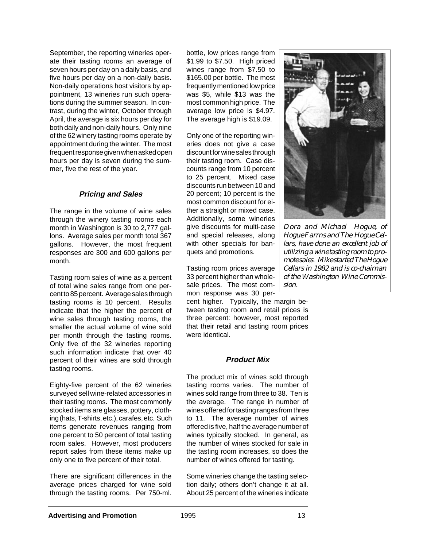September, the reporting wineries operate their tasting rooms an average of seven hours per day on a daily basis, and five hours per day on a non-daily basis. Non-daily operations host visitors by appointment, 13 wineries run such operations during the summer season. In contrast, during the winter, October through April, the average is six hours per day for both daily and non-daily hours. Only nine of the 62 winery tasting rooms operate by appointment during the winter. The most frequent response given when asked open hours per day is seven during the summer, five the rest of the year.

### **Pricing and Sales**

The range in the volume of wine sales through the winery tasting rooms each month in Washington is 30 to 2,777 gallons. Average sales per month total 367 gallons. However, the most frequent responses are 300 and 600 gallons per month.

Tasting room sales of wine as a percent of total wine sales range from one percent to 85 percent. Average sales through tasting rooms is 10 percent. Results indicate that the higher the percent of wine sales through tasting rooms, the smaller the actual volume of wine sold per month through the tasting rooms. Only five of the 32 wineries reporting such information indicate that over 40 percent of their wines are sold through tasting rooms.

Eighty-five percent of the 62 wineries surveyed sell wine-related accessories in their tasting rooms. The most commonly stocked items are glasses, pottery, clothing (hats, T-shirts, etc.), carafes, etc. Such items generate revenues ranging from one percent to 50 percent of total tasting room sales. However, most producers report sales from these items make up only one to five percent of their total.

There are significant differences in the average prices charged for wine sold through the tasting rooms. Per 750-ml.

bottle, low prices range from \$1.99 to \$7.50. High priced wines range from \$7.50 to \$165.00 per bottle. The most frequently mentioned low price was \$5, while \$13 was the most common high price. The average low price is \$4.97. The average high is \$19.09.

Only one of the reporting wineries does not give a case discount for wine sales through their tasting room. Case discounts range from 10 percent to 25 percent. Mixed case discounts run between 10 and 20 percent; 10 percent is the most common discount for either a straight or mixed case. Additionally, some wineries give discounts for multi-case and special releases, along with other specials for banquets and promotions.

Tasting room prices average 33 percent higher than wholesale prices. The most common response was 30 per-

cent higher. Typically, the margin between tasting room and retail prices is three percent: however, most reported that their retail and tasting room prices were identical.

#### **Product Mix**

The product mix of wines sold through tasting rooms varies. The number of wines sold range from three to 38. Ten is the average. The range in number of wines offered for tasting ranges from three to 11. The average number of wines offered is five, half the average number of wines typically stocked. In general, as the number of wines stocked for sale in the tasting room increases, so does the number of wines offered for tasting.

Some wineries change the tasting selection daily; others don't change it at all. About 25 percent of the wineries indicate



*Dora and Michael Hogue, of Hogue Farrns and The Hogue Cellars, have done an excellent job of utilizing a wine tasting room to promote sales. Mike started The Hogue Cellars in 1982 and is co-chairnan of the Washington Wine Commission.*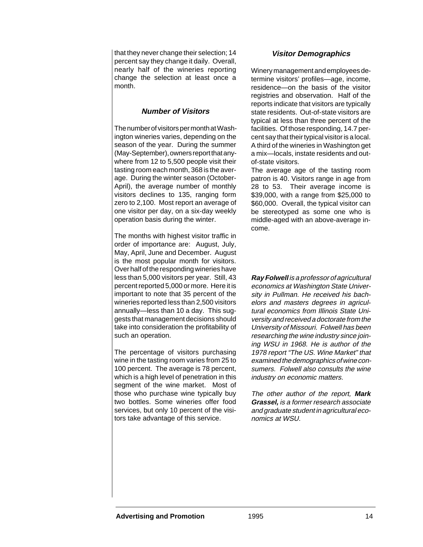that they never change their selection; 14 percent say they change it daily. Overall, nearly half of the wineries reporting change the selection at least once a month.

# **Number of Visitors**

The number of visitors per month at Washington wineries varies, depending on the season of the year. During the summer (May-September), owners report that anywhere from 12 to 5,500 people visit their tasting room each month, 368 is the average. During the winter season (October-April), the average number of monthly visitors declines to 135, ranging form zero to 2,100. Most report an average of one visitor per day, on a six-day weekly operation basis during the winter.

The months with highest visitor traffic in order of importance are: August, July, May, April, June and December. August is the most popular month for visitors. Over half of the responding wineries have less than 5,000 visitors per year. Still, 43 percent reported 5,000 or more. Here it is important to note that 35 percent of the wineries reported less than 2,500 visitors annually—less than 10 a day. This suggests that management decisions should take into consideration the profitability of such an operation.

The percentage of visitors purchasing wine in the tasting room varies from 25 to 100 percent. The average is 78 percent, which is a high level of penetration in this segment of the wine market. Most of those who purchase wine typically buy two bottles. Some wineries offer food services, but only 10 percent of the visitors take advantage of this service.

#### **Visitor Demographics**

Winery management and employees determine visitors' profiles—age, income, residence—on the basis of the visitor registries and observation. Half of the reports indicate that visitors are typically state residents. Out-of-state visitors are typical at less than three percent of the facilities. Of those responding, 14.7 percent say that their typical visitor is a local. A third of the wineries in Washington get a mix—locals, instate residents and outof-state visitors.

The average age of the tasting room patron is 40. Visitors range in age from 28 to 53. Their average income is \$39,000, with a range from \$25,000 to \$60,000. Overall, the typical visitor can be stereotyped as some one who is middle-aged with an above-average income.

**Ray Folwell** is a professor of agricultural economics at Washington State University in Pullman. He received his bachelors and masters degrees in agricultural economics from Illinois State University and received a doctorate from the University of Missouri. Folwell has been researching the wine industry since joining WSU in 1968. He is author of the 1978 report "The US. Wine Market" that examined the demographics of wine consumers. Folwell also consults the wine industry on economic matters.

The other author of the report, **Mark Grassel,** is a former research associate and graduate student in agricultural economics at WSU.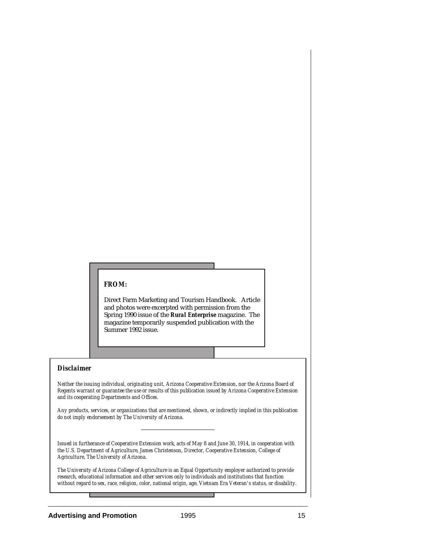#### *FROM:*

Direct Farm Marketing and Tourism Handbook. Article and photos were excerpted with permission from the Spring 1990 issue of the *Rural Enterprise* magazine. The magazine temporarily suspended publication with the Summer 1992 issue.

#### *Disclaimer*

*Neither the issuing individual, originating unit, Arizona Cooperative Extension, nor the Arizona Board of Regents warrant or guarantee the use or results of this publication issued by Arizona Cooperative Extension and its cooperating Departments and Offices.*

*Any products, services, or organizations that are mentioned, shown, or indirectly implied in this publication do not imply endorsement by The University of Arizona.*

*Issued in furtherance of Cooperative Extension work, acts of May 8 and June 30, 1914, in cooperation with the U.S. Department of Agriculture, James Christenson, Director, Cooperative Extension, College of Agriculture, The University of Arizona.*

*The University of Arizona College of Agriculture is an Equal Opportunity employer authorized to provide research, educational information and other services only to individuals and institutions that function without regard to sex, race, religion, color, national origin, age, Vietnam Era Veteran's status, or disability.*